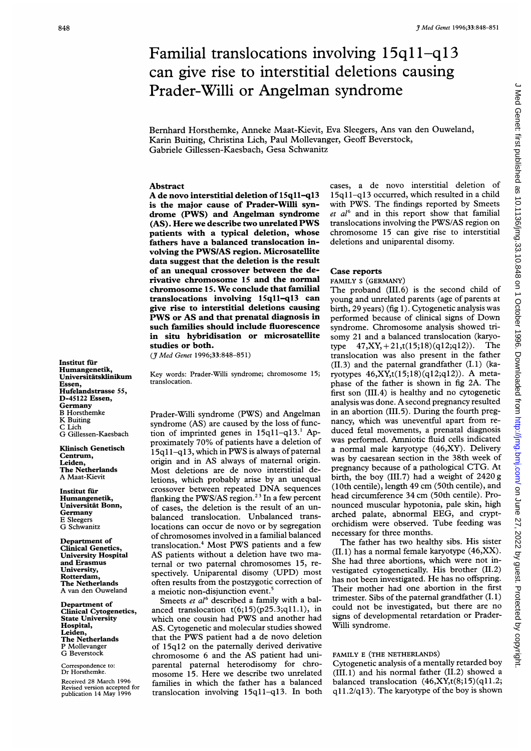# $3^{Med Genet 1996;33:848-851}$ Familial translocations involving  $15q11-q13$ can give rise to interstitial deletions causing Prader-Willi or Angelman syndrome

Bernhard Horsthemke, Anneke Maat-Kievit, Eva Sleegers, Ans van den Ouweland, Karin Buiting, Christina Lich, Paul Mollevanger, Geoff Beverstock, Gabriele Gillessen-Kaesbach, Gesa Schwanitz

## Abstract

A de novo interstitial deletion of 15q11-q13 is the major cause of Prader-Willi syndrome (PWS) and Angelman syndrome (AS). Here we describe two unrelated PWS patients with a typical deletion, whose fathers have a balanced translocation involving the PWS/AS region. Microsatellite data suggest that the deletion is the result of an unequal crossover between the derivative chromosome 15 and the normal chromosome 15. We conclude that familial translocations involving 15q11-q13 can give rise to interstitial deletions causing PWS or AS and that prenatal diagnosis in such families should include fluorescence in situ hybridisation or microsatellite studies or both.

(J7Med Genet 1996;33:848-851)

Institut für Humangenetik, Universitätsklinikum Essen, Hufelandstrasse 55, D-45122 Essen, Germany B Horsthemke K Buiting C Lich G Gillessen-Kaesbach

Klinisch Genetisch Centrum, Leiden, The Netherlands A Maat-Kievit

Institut für Humangenetik, Universitat Bonn, Germany E Sleegers G Schwanitz

Department of Clinical Genetics, University Hospital and Erasmus University, Rotterdam, The Netherlands A van den Ouweland

Department of Clinical Cytogenetics, State University Hospital, Leiden, The Netherlands P Mollevanger G Beverstock.

Correspondence to: Dr Horsthemke.

Received 28 March 1996 Revised version accepted for publication 14 May 1996 Key words: Prader-Willi syndrome; chromosome 15; translocation.

Prader-Willi syndrome (PWS) and Angelman syndrome (AS) are caused by the loss of function of imprinted genes in 15qll-ql3.' Approximately 70% of patients have <sup>a</sup> deletion of 15qI 1-q1 3, which in PWS is always of paternal origin and in AS always of maternal origin. Most deletions are de novo interstitial deletions, which probably arise by an unequal crossover between repeated DNA sequences flanking the PWS/AS region.<sup>23</sup> In a few percent of cases, the deletion is the result of an unbalanced translocation. Unbalanced translocations can occur de novo or by segregation of chromosomes involved in a familial balanced translocation.4 Most PWS patients and <sup>a</sup> few AS patients without <sup>a</sup> deletion have two maternal or two paternal chromosomes 15, respectively. Uniparental disomy (UPD) most often results from the postzygotic correction of a meiotic non-disjunction event.<sup>5</sup>

Smeets et al<sup>6</sup> described a family with a balanced translocation  $t(6;15)(p25.3;q11.1)$ , in which one cousin had PWS and another had AS. Cytogenetic and molecular studies showed that the PWS patient had <sup>a</sup> de novo deletion of 15ql2 on the paternally derived derivative chromosome <sup>6</sup> and the AS patient had uniparental paternal heterodisomy for chromosome 15. Here we describe two unrelated families in which the father has a balanced translocation involving 15q11-q13. In both

cases, a de novo interstitial deletion of 15qll-ql 3 occurred, which resulted in a child with PWS. The findings reported by Smeets et  $al<sup>6</sup>$  and in this report show that familial translocations involving the PWS/AS region on chromosome 15 can give rise to interstitial deletions and uniparental disomy.

## Case reports

FAMILY <sup>S</sup> (GERMANY)

The proband (III.6) is the second child of young and unrelated parents (age of parents at birth, 29 years) (fig 1). Cytogenetic analysis was performed because of clinical signs of Down syndrome. Chromosome analysis showed trisomy 21 and a balanced translocation (karyo-<br>type  $47.XY + 21.t(15:18)(a12:a12))$ . The type  $47, XY, +21, t(15;18)(q12;q12)$ . translocation was also present in the father (II.3) and the paternal grandfather (I.1) (karyotypes 46,XY,t(15;18) (q12;q12)). A metaphase of the father is shown in fig 2A. The first son (III.4) is healthy and no cytogenetic analysis was done. A second pregnancy resulted in an abortion (111.5). During the fourth pregnancy, which was uneventful apart from reduced fetal movements, a prenatal diagnosis was performed. Amniotic fluid cells indicated a normal male karyotype (46,XY). Delivery was by caesarean section in the 38th week of pregnancy because of <sup>a</sup> pathological CTG. At birth, the boy (III.7) had <sup>a</sup> weight of 2420 g (10th centile), length 49 cm (50th centile), and head circumference 34 cm (50th centile). Pronounced muscular hypotonia, pale skin, high arched palate, abnormal EEG, and cryptorchidism were observed. Tube feeding was necessary for three months.

The father has two healthy sibs. His sister (II.1) has a normal female karyotype (46,XX). She had three abortions, which were not investigated cytogenetically. His brother (II.2) has not been investigated. He has no offspring. Their mother had one abortion in the first trimester. Sibs of the paternal grandfather (I.1) could not be investigated, but there are no signs of developmental retardation or Prader-Willi syndrome.

## FAMILY E (THE NETHERLANDS)

Cytogenetic analysis of a mentally retarded boy (III.1) and his normal father (11.2) showed <sup>a</sup> balanced translocation  $(46, XY, t(8, 15)(q11.2;$ q11.2/q13). The karyotype of the boy is shown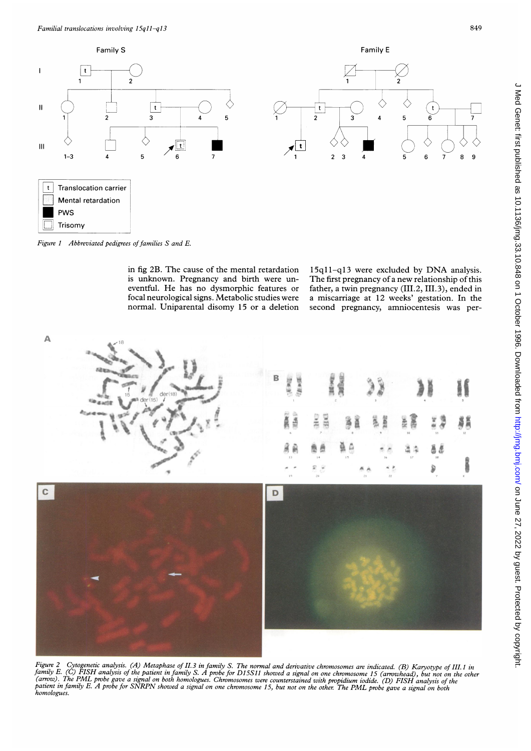

Figure 1 Abbreviated pedigrees of families  $S$  and  $E$ .

in fig 2B. The cause of the mental retardation is unknown. Pregnancy and birth were uneventful. He has no dysmorphic features or focal neurological signs. Metabolic studies were normal. Uniparental disomy 15 or a deletion 15ql1-qi3 were excluded by DNA analysis. The first pregnancy of <sup>a</sup> new relationship of this father, a twin pregnancy (III.2, III.3), ended in a miscarriage at 12 weeks' gestation. In the second pregnancy, amniocentesis was per-



Figure 2 Cytogenetic analysis. (A) Metaphase of II.3 in family S. The normal and derivative chromosomes are indicated. (B) Karyotype of III.1 in<br>family E. (C) FISH analysis of the patient in family S. A probe for D15S11 sh (arrow). The PML probe gave a signal on both homologues. Chromosomes were counterstained with propidium iodide. (D) FISH analysis of the<br>patient in family E. A probe for SNRPN showed a signal on one chromosomes were counte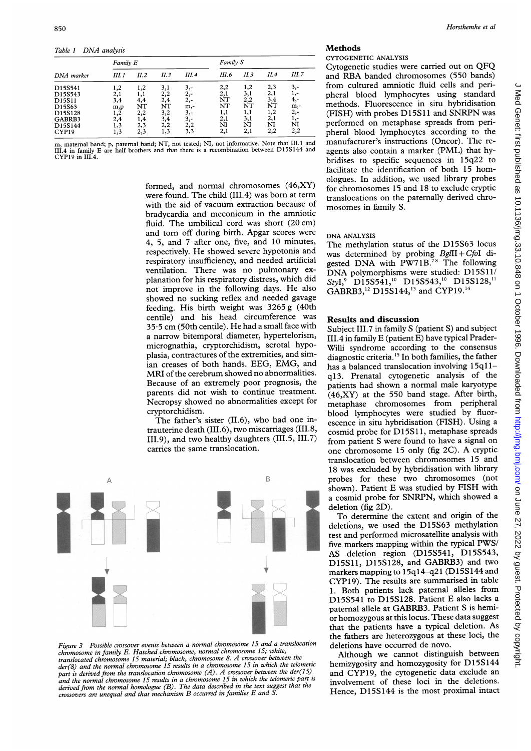Table <sup>1</sup> DNA analysis

| DNA marker                                                  | Family E                                    |                                |                                       |                                            | Family S                             |                                       |                                       |                                            |
|-------------------------------------------------------------|---------------------------------------------|--------------------------------|---------------------------------------|--------------------------------------------|--------------------------------------|---------------------------------------|---------------------------------------|--------------------------------------------|
|                                                             | III. 1                                      | II. 2                          | II. 3                                 | III. 4                                     | III.6                                | II.3                                  | II.4                                  | III.7                                      |
| D15S541<br>D15S543<br>D15S11<br>D15S63<br>D15S128<br>GABRB3 | 1,2<br>2,1<br>3,4<br>m,p<br>1,2<br>$^{2,4}$ | 1,2<br>4,4<br>NT<br>2,2<br>1,4 | 3,1<br>2,2<br>2,4<br>ŃT<br>3,2<br>3,4 | 3,-<br>$2,-$<br>$2,-$<br>m,-<br>3,-<br>3,- | 2,2<br>2,1<br>NT<br>NT<br>1,1<br>2,1 | 1,2<br>3,1<br>2,2<br>NT<br>1,1<br>3,1 | 2,3<br>2,1<br>3,4<br>NT<br>1,2<br>2,1 | 3,-<br>1,-<br>4,-<br>$m,-$<br>$2,-$<br>1,- |
| D15S144<br>CYP <sub>19</sub>                                | 1,3<br>1,3                                  | 2,3<br>2,3                     | 2,2<br>1,3                            | 2,2<br>3,3                                 | NI<br>2,1                            | NI<br>2,1                             | NI<br>2,2                             | ŃI<br>2,2                                  |

maternal band; p, paternal band; NT, not tested; NI, not informative. Note that III.1 and in family E are half brothers and that there is a recombination between D15S144 and CYP19 in III.4.

> formed, and normal chromosomes (46,XY) were found. The child (III.4) was born at term with the aid of vacuum extraction because of bradycardia and meconicum in the amniotic fluid. The umbilical cord was short (20 cm) and torn off during birth. Apgar scores were 4, 5, and 7 after one, five, and 10 minutes, respectively. He showed severe hypotonia and respiratory insufficiency, and needed artificial ventilation. There was no pulmonary explanation for his respiratory distress, which did not improve in the following days. He also showed no sucking reflex and needed gavage feeding. His birth weight was 3265 g (40th centile) and his head circumference was <sup>35</sup> <sup>5</sup> cm (50th centile). He had <sup>a</sup> small face with a narrow bitemporal diameter, hypertelorism, micrognathia, cryptorchidism, scrotal hypoplasia, contractures of the extremities, and simian creases of both hands. EEG, EMG, and MRI of the cerebrum showed no abnormalities. Because of an extremely poor prognosis, the parents did not wish to continue treatment. Necropsy showed no abnormalities except for cryptorchidism.

> The father's sister (II.6), who had one intrauterine death (II1.6), two miscarriages (III.8, III.9), and two healthy daughters (III.5, II1.7) carries the same translocation.



Figure 3 Possible crossover events between <sup>a</sup> normal chromosome <sup>15</sup> and <sup>a</sup> translocation chromosome in family E. Hatched chromosome, normal chromosome 15; white, translocated chromosome <sup>15</sup> material; black, chromosome 8. A crossover between the der(8) and the normal chromosome 15 results in a chromosome 15 in which the telomeric part is derived from the translocation chromosome  $(A)$ . A crossover between the der(15) and the normal chromosome 15 results in a chromosome 15 in which the telomeric part is derived from the normal homologue (B). The data described in the text suggest that the crossovers are unequal and that mechanism B occurred in families E and S.

## **Methods**

#### CYTOGENETIC ANALYSIS

Cytogenetic studies were carried out on QFQ and RBA banded chromosomes (550 bands) from cultured amniotic fluid cells and peripheral blood lymphocytes using standard methods. Fluorescence in situ hybridisation (FISH) with probes D15S11 and SNRPN was performed on metaphase spreads from peripheral blood lymphocytes according to the manufacturer's instructions (Oncor). The reagents also contain <sup>a</sup> marker (PML) that hybridises to specific sequences in 15q22 to facilitate the identification of both 15 homologues. In addition, we used library probes for chromosomes 15 and 18 to exclude cryptic translocations on the paternally derived chromosomes in family S.

## DNA ANALYSIS

The methylation status of the D15S63 locus was determined by probing  $BgII + CfoI$  digested DNA with  $PW71B^{78}$ . The following DNA polymorphisms were studied: D15S11/ StyI,<sup>9</sup> D15S541,<sup>10</sup> D15S543,<sup>10</sup> D15S128,<sup>11</sup> GABRB3,<sup>12</sup> D15S144,<sup>13</sup> and CYP19.<sup>14</sup>

## Results and discussion

Subject III.7 in family S (patient S) and subject III.4 in family E (patient E) have typical Prader-Willi syndrome according to the consensus diagnostic criteria.15 In both families, the father has a balanced translocation involving 15q11q13. Prenatal cytogenetic analysis of the patients had shown a normal male karyotype (46,XY) at the 550 band stage. After birth, metaphase chromosomes from peripheral blood lymphocytes were studied by fluorescence in situ hybridisation (FISH). Using a cosmid probe for D15S11, metaphase spreads from patient S were found to have <sup>a</sup> signal on one chromosome <sup>15</sup> only (fig 2C). A cryptic translocation between chromosomes 15 and 18 was excluded by hybridisation with library probes for these two chromosomes (not shown). Patient E was studied by FISH with <sup>a</sup> cosmid probe for SNRPN, which showed <sup>a</sup> deletion (fig 2D).

To determine the extent and origin of the deletions, we used the D15S63 methylation test and performed microsatellite analysis with five markers mapping within the typical PWS/ AS deletion region (D15S541, D15S543, D15Sli, D15S128, and GABRB3) and two markers mapping to 15q14-q21 (D15S144 and CYP19). The results are summarised in table 1. Both patients lack paternal alleles from D15S541 to D15S128. Patient E also lacks <sup>a</sup> paternal allele at GABRB3. Patient S is hemior homozygous at this locus. These data suggest that the patients have <sup>a</sup> typical deletion. As the fathers are heterozygous at these loci, the deletions have occurred de novo.

Although we cannot distinguish between hemizygosity and homozygosity for D15S144 and CYP19, the cytogenetic data exclude an involvement of these loci in the deletions. Hence, D15S144 is the most proximal intact